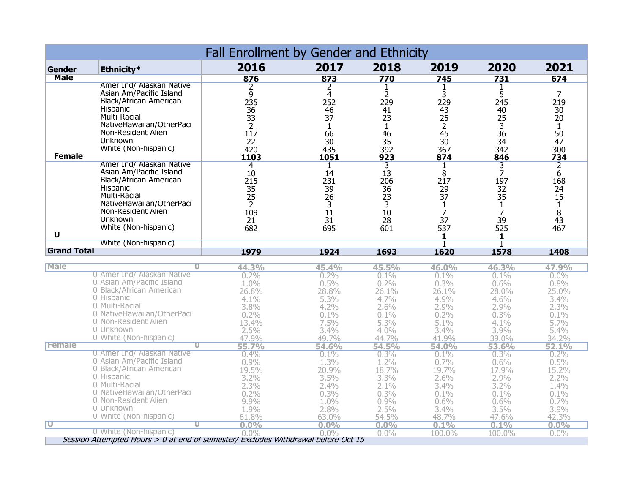| Fall Enrollment by Gender and Ethnicity |                          |      |        |                |      |                 |                 |  |
|-----------------------------------------|--------------------------|------|--------|----------------|------|-----------------|-----------------|--|
| Gender                                  | Ethnicity*               | 2016 | 2017   | 2018           | 2019 | 2020            | 2021            |  |
| <b>Male</b>                             |                          | 876  | 873    | 770            | 745  | 731             | 674             |  |
|                                         | Amer Ind/ Alaskan Native |      |        |                |      |                 |                 |  |
|                                         | Asian Am/Pacific Island  |      |        |                |      |                 |                 |  |
|                                         | Black/African American   | 235  | 252    | 229            | 229  | 245             | 219             |  |
|                                         | <b>Hispanic</b>          | 36   | 46     | 41             | 43   | 40              | 30              |  |
|                                         | Multi-Racial             | 33   | 37     | 23             | 25   | 25              | 20              |  |
|                                         | NativeHawaiian/OtherPaci |      |        |                |      | 3               |                 |  |
|                                         | Non-Resident Alien       | 117  | 66     | 46             | 45   | $\frac{36}{34}$ | 50              |  |
|                                         | <b>Unknown</b>           | 22   | 30     | 35             | 30   |                 | $\overline{47}$ |  |
|                                         | White (Non-hispanic)     | 420  | 435    | 392            | 367  | 342             | 300             |  |
| <b>Female</b>                           |                          | 1103 | 1051   | 923            | 874  | 846             | 734             |  |
|                                         | Amer Ind/ Alaskan Native | 4    |        |                |      |                 |                 |  |
|                                         | Asian Am/Pacific Island  | 10   | 14     | 13             |      |                 | 6               |  |
|                                         | Black/African American   | 215  | 231    | 206            | 217  | 197             | 168             |  |
|                                         | <b>Hispanic</b>          | 35   | 39     | 36             | 29   | 32              | 24              |  |
|                                         | Multi-Racial             | 25   | 26     | 23             | 37   | 35              | 15              |  |
|                                         | NativeHawaiian/OtherPaci |      |        | $\overline{3}$ |      |                 |                 |  |
|                                         | Non-Resident Alien       | 109  | $11\,$ | 10             |      |                 |                 |  |
|                                         | <b>Unknown</b>           | 21   | 31     | 28             | 37   | 39              | 43              |  |
|                                         | White (Non-hispanic)     | 682  | 695    | 601            | 537  | 525             | 467             |  |
| U                                       |                          |      |        |                |      |                 |                 |  |
|                                         | White (Non-hispanic)     |      |        |                |      |                 |                 |  |
| <b>Grand Total</b>                      |                          | 1979 | 1924   | 1693           | 1620 | 1578            | 1408            |  |

| <b>Male</b>                                                                       |                            | 44.3%   | 45.4%        | 45.5%   | 46.0%        | 46.3%   | 47.9%   |  |
|-----------------------------------------------------------------------------------|----------------------------|---------|--------------|---------|--------------|---------|---------|--|
|                                                                                   | 0 Amer Ind/ Alaskan Native | $0.2\%$ | $0.2\%$      | $0.1\%$ | $0.1\%$      | $0.1\%$ | $0.0\%$ |  |
|                                                                                   | 0 Asian Am/Pacific Island  | 1.0%    | $0.5\%$      | $0.2\%$ | $0.3\%$      | $0.6\%$ | $0.8\%$ |  |
|                                                                                   | 0 Black/African American   | 26.8%   | 28.8%        | 26.1%   | 26.1%        | 28.0%   | 25.0%   |  |
|                                                                                   | 0 Hispanic                 | $4.1\%$ | 5.3%         | $4.7\%$ | 4.9%         | $4.6\%$ | $3.4\%$ |  |
|                                                                                   | 0 Multi-Racial             | $3.8\%$ | $4.2\%$      | 2.6%    | $2.9\%$      | $2.9\%$ | $2.3\%$ |  |
|                                                                                   | 0 NativeHawaiian/OtherPaci | $0.2\%$ | 0.1%         | $0.1\%$ | $0.2\%$      | $0.3\%$ | $0.1\%$ |  |
|                                                                                   | 0 Non-Resident Alien       | 13.4%   | 7.5%         | $5.3\%$ | 5.1%         | $4.1\%$ | 5.7%    |  |
|                                                                                   | 0 Unknown                  | 2.5%    | 3.4%         | $4.0\%$ | $3.4\%$      | $3.9\%$ | 5.4%    |  |
|                                                                                   | 0 White (Non-hispanic)     | 47.9%   | 49.7%        | 44.7%   | 41.9%        | 39.0%   | 34.2%   |  |
| <b>Female</b>                                                                     |                            | 55.7%   | <b>54.6%</b> | 54.5%   | <b>54.0%</b> | 53.6%   | 52.1%   |  |
|                                                                                   | 0 Amer Ind/ Alaskan Native | $0.4\%$ | $0.1\%$      | 0.3%    | $0.1\%$      | $0.3\%$ | 0.2%    |  |
|                                                                                   | 0 Asian Am/Pacific Island  | $0.9\%$ | 1.3%         | $1.2\%$ | $0.7\%$      | $0.6\%$ | $0.5\%$ |  |
|                                                                                   | 0 Black/African American   | 19.5%   | 20.9%        | 18.7%   | 19.7%        | 17.9%   | 15.2%   |  |
|                                                                                   | 0 Hispanic                 | $3.2\%$ | $3.5\%$      | $3.3\%$ | 2.6%         | $2.9\%$ | $2.2\%$ |  |
|                                                                                   | 0 Multi-Racial             | $2.3\%$ | $2.4\%$      | $2.1\%$ | $3.4\%$      | $3.2\%$ | 1.4%    |  |
|                                                                                   | 0 NativeHawaiian/OtherPaci | $0.2\%$ | $0.3\%$      | 0.3%    | $0.1\%$      | $0.1\%$ | $0.1\%$ |  |
|                                                                                   | 0 Non-Resident Alien       | 9.9%    | 1.0%         | $0.9\%$ | 0.6%         | $0.6\%$ | $0.7\%$ |  |
|                                                                                   | 0 Unknown                  | $1.9\%$ | 2.8%         | $2.5\%$ | 3.4%         | 3.5%    | 3.9%    |  |
|                                                                                   | 0 White (Non-hispanic)     | 61.8%   | 63.0%        | 54.5%   | 48.7%        | 47.6%   | 42.3%   |  |
| π                                                                                 |                            | $0.0\%$ | $0.0\%$      | $0.0\%$ | 0.1%         | 0.1%    | $0.0\%$ |  |
|                                                                                   | 0 White (Non-hispanic)     | $0.0\%$ | $0.0\%$      | $0.0\%$ | 100.0%       | 100.0%  | $0.0\%$ |  |
| Session Attempted Hours > 0 at end of semester/ Excludes Withdrawal before Oct 15 |                            |         |              |         |              |         |         |  |